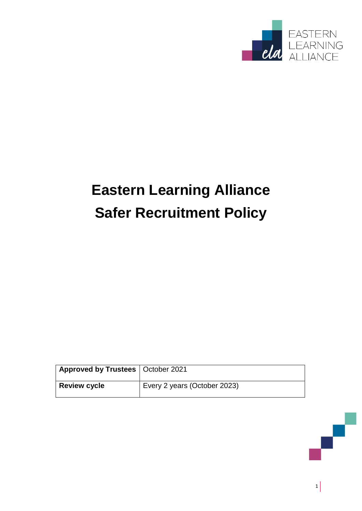

# **Eastern Learning Alliance Safer Recruitment Policy**

| Approved by Trustees   October 2021 |                              |
|-------------------------------------|------------------------------|
| <b>Review cycle</b>                 | Every 2 years (October 2023) |

 $1$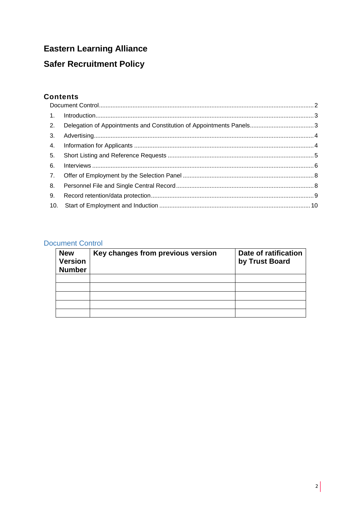# **Eastern Learning Alliance**

## **Safer Recruitment Policy**

### **Contents**

| 6. |  |
|----|--|
|    |  |
|    |  |
|    |  |
|    |  |

#### <span id="page-1-0"></span>**Document Control**

| <b>New</b><br><b>Version</b><br><b>Number</b> | Key changes from previous version | Date of ratification<br>by Trust Board |
|-----------------------------------------------|-----------------------------------|----------------------------------------|
|                                               |                                   |                                        |
|                                               |                                   |                                        |
|                                               |                                   |                                        |
|                                               |                                   |                                        |
|                                               |                                   |                                        |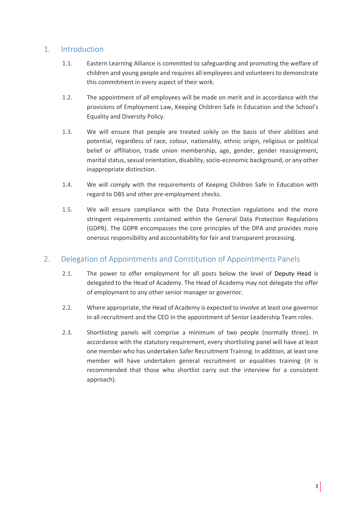#### <span id="page-2-0"></span>1. Introduction

- 1.1. Eastern Learning Alliance is committed to safeguarding and promoting the welfare of children and young people and requires all employees and volunteers to demonstrate this commitment in every aspect of their work.
- 1.2. The appointment of all employees will be made on merit and in accordance with the provisions of Employment Law, Keeping Children Safe in Education and the School's Equality and Diversity Policy.
- 1.3. We will ensure that people are treated solely on the basis of their abilities and potential, regardless of race, colour, nationality, ethnic origin, religious or political belief or affiliation, trade union membership, age, gender, gender reassignment, marital status, sexual orientation, disability, socio-economic background, or any other inappropriate distinction.
- 1.4. We will comply with the requirements of Keeping Children Safe in Education with regard to DBS and other pre-employment checks.
- 1.5. We will ensure compliance with the Data Protection regulations and the more stringent requirements contained within the General Data Protection Regulations (GDPR). The GDPR encompasses the core principles of the DPA and provides more onerous responsibility and accountability for fair and transparent processing.

### <span id="page-2-1"></span>2. Delegation of Appointments and Constitution of Appointments Panels

- 2.1. The power to offer employment for all posts below the level of Deputy Head is delegated to the Head of Academy. The Head of Academy may not delegate the offer of employment to any other senior manager or governor.
- 2.2. Where appropriate, the Head of Academy is expected to involve at least one governor in all recruitment and the CEO in the appointment of Senior Leadership Team roles.
- 2.3. Shortlisting panels will comprise a minimum of two people (normally three). In accordance with the statutory requirement, every shortlisting panel will have at least one member who has undertaken Safer Recruitment Training. In addition, at least one member will have undertaken general recruitment or equalities training (it is recommended that those who shortlist carry out the interview for a consistent approach).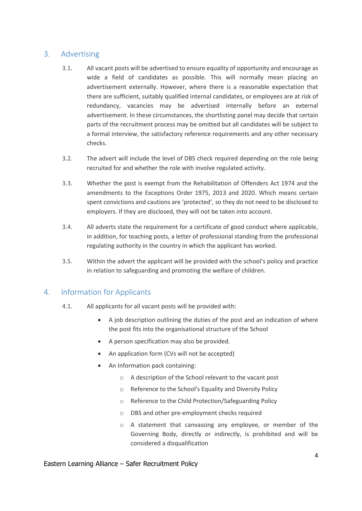#### <span id="page-3-0"></span>3. Advertising

- 3.1. All vacant posts will be advertised to ensure equality of opportunity and encourage as wide a field of candidates as possible. This will normally mean placing an advertisement externally. However, where there is a reasonable expectation that there are sufficient, suitably qualified internal candidates, or employees are at risk of redundancy, vacancies may be advertised internally before an external advertisement. In these circumstances, the shortlisting panel may decide that certain parts of the recruitment process may be omitted but all candidates will be subject to a formal interview, the satisfactory reference requirements and any other necessary checks.
- 3.2. The advert will include the level of DBS check required depending on the role being recruited for and whether the role with involve regulated activity.
- 3.3. Whether the post is exempt from the Rehabilitation of Offenders Act 1974 and the amendments to the Exceptions Order 1975, 2013 and 2020. Which means certain spent convictions and cautions are 'protected', so they do not need to be disclosed to employers. If they are disclosed, they will not be taken into account.
- 3.4. All adverts state the requirement for a certificate of good conduct where applicable, in addition, for teaching posts, a letter of professional standing from the professional regulating authority in the country in which the applicant has worked.
- 3.5. Within the advert the applicant will be provided with the school's policy and practice in relation to safeguarding and promoting the welfare of children.

#### <span id="page-3-1"></span>4. Information for Applicants

- 4.1. All applicants for all vacant posts will be provided with:
	- A job description outlining the duties of the post and an indication of where the post fits into the organisational structure of the School
	- A person specification may also be provided.
	- An application form (CVs will not be accepted)
	- An Information pack containing:
		- o A description of the School relevant to the vacant post
		- o Reference to the School's Equality and Diversity Policy
		- o Reference to the Child Protection/Safeguarding Policy
		- o DBS and other pre-employment checks required
		- o A statement that canvassing any employee, or member of the Governing Body, directly or indirectly, is prohibited and will be considered a disqualification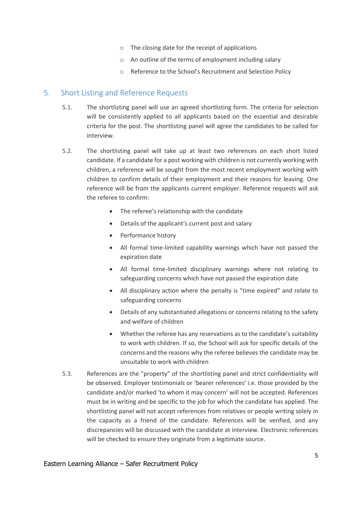- o The closing date for the receipt of applications
- o An outline of the terms of employment including salary
- o Reference to the School's Recruitment and Selection Policy

#### <span id="page-4-0"></span>5. Short Listing and Reference Requests

- 5.1. The shortlisting panel will use an agreed shortlisting form. The criteria for selection will be consistently applied to all applicants based on the essential and desirable criteria for the post. The shortlisting panel will agree the candidates to be called for interview.
- 5.2. The shortlisting panel will take up at least two references on each short listed candidate. If a candidate for a post working with children is not currently working with children, a reference will be sought from the most recent employment working with children to confirm details of their employment and their reasons for leaving. One reference will be from the applicants current employer. Reference requests will ask the referee to confirm:
	- The referee's relationship with the candidate
	- Details of the applicant's current post and salary
	- Performance history
	- All formal time-limited capability warnings which have not passed the expiration date
	- All formal time-limited disciplinary warnings where not relating to safeguarding concerns which have not passed the expiration date
	- All disciplinary action where the penalty is "time expired" and relate to safeguarding concerns
	- Details of any substantiated allegations or concerns relating to the safety and welfare of children
	- Whether the referee has any reservations as to the candidate's suitability to work with children. If so, the School will ask for specific details of the concerns and the reasons why the referee believes the candidate may be unsuitable to work with children
- 5.3. References are the "property" of the shortlisting panel and strict confidentiality will be observed. Employer testimonials or 'bearer references' i.e. those provided by the candidate and/or marked 'to whom it may concern' will not be accepted. References must be in writing and be specific to the job for which the candidate has applied. The shortlisting panel will not accept references from relatives or people writing solely in the capacity as a friend of the candidate. References will be verified, and any discrepancies will be discussed with the candidate at interview. Electronic references will be checked to ensure they originate from a legitimate source.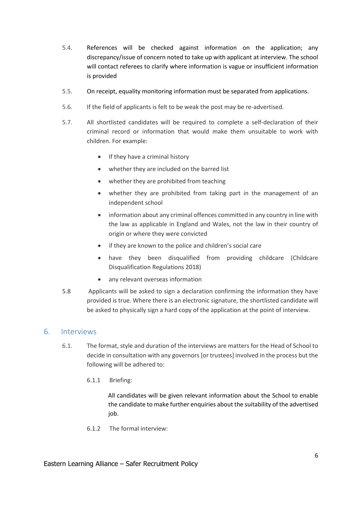- 5.4. References will be checked against information on the application; any discrepancy/issue of concern noted to take up with applicant at interview. The school will contact referees to clarify where information is vague or insufficient information is provided
- 5.5. On receipt, equality monitoring information must be separated from applications.
- 5.6. If the field of applicants is felt to be weak the post may be re-advertised.
- 5.7. All shortlisted candidates will be required to complete a self-declaration of their criminal record or information that would make them unsuitable to work with children. For example:
	- If they have a criminal history
	- whether they are included on the barred list
	- whether they are prohibited from teaching
	- whether they are prohibited from taking part in the management of an independent school
	- information about any criminal offences committed in any country in line with the law as applicable in England and Wales, not the law in their country of origin or where they were convicted
	- if they are known to the police and children's social care
	- have they been disqualified from providing childcare (Childcare Disqualification Regulations 2018)
	- any relevant overseas information
- 5.8 Applicants will be asked to sign a declaration confirming the information they have provided is true. Where there is an electronic signature, the shortlisted candidate will be asked to physically sign a hard copy of the application at the point of interview.

#### <span id="page-5-0"></span>6. Interviews

- 6.1. The format, style and duration of the interviews are matters for the Head of School to decide in consultation with any governors [or trustees] involved in the process but the following will be adhered to:
	- 6.1.1 Briefing:

All candidates will be given relevant information about the School to enable the candidate to make further enquiries about the suitability of the advertised job.

6.1.2 The formal interview: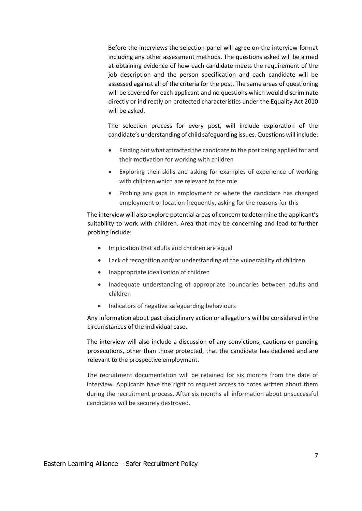Before the interviews the selection panel will agree on the interview format including any other assessment methods. The questions asked will be aimed at obtaining evidence of how each candidate meets the requirement of the job description and the person specification and each candidate will be assessed against all of the criteria for the post. The same areas of questioning will be covered for each applicant and no questions which would discriminate directly or indirectly on protected characteristics under the Equality Act 2010 will be asked.

The selection process for every post, will include exploration of the candidate's understanding of child safeguarding issues. Questions will include:

- Finding out what attracted the candidate to the post being applied for and their motivation for working with children
- Exploring their skills and asking for examples of experience of working with children which are relevant to the role
- Probing any gaps in employment or where the candidate has changed employment or location frequently, asking for the reasons for this

The interview will also explore potential areas of concern to determine the applicant's suitability to work with children. Area that may be concerning and lead to further probing include:

- Implication that adults and children are equal
- Lack of recognition and/or understanding of the vulnerability of children
- Inappropriate idealisation of children
- Inadequate understanding of appropriate boundaries between adults and children
- Indicators of negative safeguarding behaviours

Any information about past disciplinary action or allegations will be considered in the circumstances of the individual case.

The interview will also include a discussion of any convictions, cautions or pending prosecutions, other than those protected, that the candidate has declared and are relevant to the prospective employment.

The recruitment documentation will be retained for six months from the date of interview. Applicants have the right to request access to notes written about them during the recruitment process. After six months all information about unsuccessful candidates will be securely destroyed.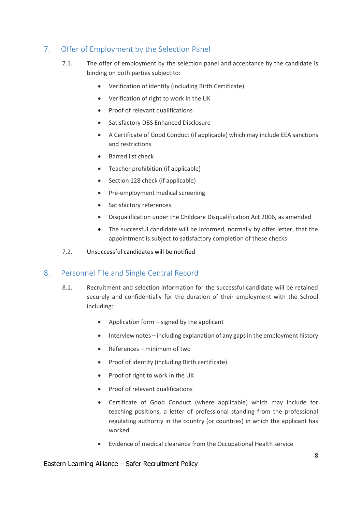## <span id="page-7-0"></span>7. Offer of Employment by the Selection Panel

- 7.1. The offer of employment by the selection panel and acceptance by the candidate is binding on both parties subject to:
	- Verification of identify (including Birth Certificate)
	- Verification of right to work in the UK
	- Proof of relevant qualifications
	- **•** Satisfactory DBS Enhanced Disclosure
	- A Certificate of Good Conduct (if applicable) which may include EEA sanctions and restrictions
	- Barred list check
	- Teacher prohibition (if applicable)
	- Section 128 check (if applicable)
	- Pre-employment medical screening
	- Satisfactory references
	- Disqualification under the Childcare Disqualification Act 2006, as amended
	- The successful candidate will be informed, normally by offer letter, that the appointment is subject to satisfactory completion of these checks
- 7.2. Unsuccessful candidates will be notified

#### <span id="page-7-1"></span>8. Personnel File and Single Central Record

- 8.1. Recruitment and selection information for the successful candidate will be retained securely and confidentially for the duration of their employment with the School including:
	- Application form  $-$  signed by the applicant
	- Interview notes including explanation of any gaps in the employment history
	- References minimum of two
	- Proof of identity (including Birth certificate)
	- Proof of right to work in the UK
	- Proof of relevant qualifications
	- Certificate of Good Conduct (where applicable) which may include for teaching positions, a letter of professional standing from the professional regulating authority in the country (or countries) in which the applicant has worked
	- Evidence of medical clearance from the Occupational Health service

#### Eastern Learning Alliance – Safer Recruitment Policy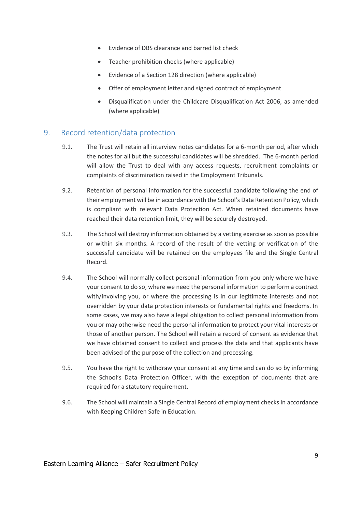- Evidence of DBS clearance and barred list check
- Teacher prohibition checks (where applicable)
- Evidence of a Section 128 direction (where applicable)
- Offer of employment letter and signed contract of employment
- Disqualification under the Childcare Disqualification Act 2006, as amended (where applicable)

#### <span id="page-8-0"></span>9. Record retention/data protection

- 9.1. The Trust will retain all interview notes candidates for a 6-month period, after which the notes for all but the successful candidates will be shredded. The 6-month period will allow the Trust to deal with any access requests, recruitment complaints or complaints of discrimination raised in the Employment Tribunals.
- 9.2. Retention of personal information for the successful candidate following the end of their employment will be in accordance with the School's Data Retention Policy, which is compliant with relevant Data Protection Act. When retained documents have reached their data retention limit, they will be securely destroyed.
- 9.3. The School will destroy information obtained by a vetting exercise as soon as possible or within six months. A record of the result of the vetting or verification of the successful candidate will be retained on the employees file and the Single Central Record.
- 9.4. The School will normally collect personal information from you only where we have your consent to do so, where we need the personal information to perform a contract with/involving you, or where the processing is in our legitimate interests and not overridden by your data protection interests or fundamental rights and freedoms. In some cases, we may also have a legal obligation to collect personal information from you or may otherwise need the personal information to protect your vital interests or those of another person. The School will retain a record of consent as evidence that we have obtained consent to collect and process the data and that applicants have been advised of the purpose of the collection and processing.
- 9.5. You have the right to withdraw your consent at any time and can do so by informing the School's Data Protection Officer, with the exception of documents that are required for a statutory requirement.
- 9.6. The School will maintain a Single Central Record of employment checks in accordance with Keeping Children Safe in Education.